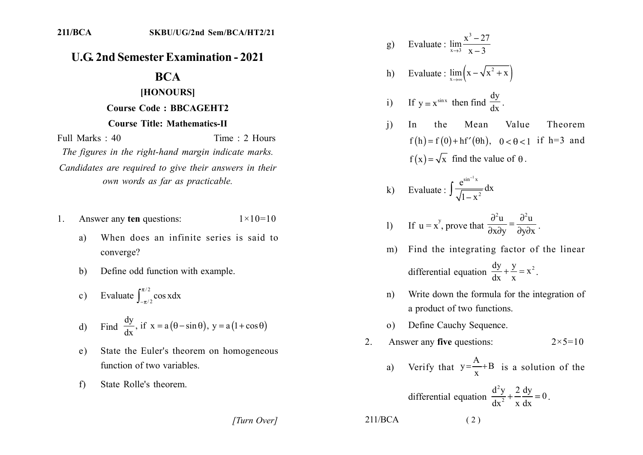## **U.G. 2nd Semester Examination - 2021**

# **BCA**

#### [HONOURS]

## **Course Code: BBCAGEHT2**

### **Course Title: Mathematics-II**

Full Marks: 40 Time: 2 Hours The figures in the right-hand margin indicate marks. Candidates are required to give their answers in their own words as far as practicable.

- Answer any ten questions:  $1 \times 10 = 10$ 1.
	- When does an infinite series is said to a) converge?
	- Define odd function with example.  $b)$
	- Evaluate  $\int_{-\pi/2}^{\pi/2} \cos x dx$  $c)$
	- Find  $\frac{dy}{dx}$ , if  $x = a(\theta \sin \theta)$ ,  $y = a(1 + \cos \theta)$  $d)$
	- State the Euler's theorem on homogeneous  $e)$ function of two variables.
	- $f$ State Rolle's theorem.

Evaluate :  $\lim_{x\to 3} \frac{x^3 - 27}{x - 3}$  $g)$ 

h) Evaluate : 
$$
\lim_{x \to \infty} (x - \sqrt{x^2 + x})
$$

i) If 
$$
y = x^{\sin x}
$$
 then find  $\frac{dy}{dx}$ .

 $\mathbf{i}$ Value Mean Theorem In the  $f(h) = f(0) + hf'(\theta h), \quad 0 < \theta < 1$  if h=3 and  $f(x) = \sqrt{x}$  find the value of  $\theta$ .

k) Evaluate : 
$$
\int \frac{e^{\sin^{-1}x}}{\sqrt{1-x^2}} dx
$$

1) If 
$$
u = x^y
$$
, prove that  $\frac{\partial^2 u}{\partial x \partial y} = \frac{\partial^2 u}{\partial y \partial x}$ .

- Find the integrating factor of the linear  $m)$ differential equation  $\frac{dy}{dx} + \frac{y}{x} = x^2$ .
- Write down the formula for the integration of  $n)$ a product of two functions.
- Define Cauchy Sequence.  $\Omega$

2. Answer any **five** questions: 
$$
2 \times 5 = 10
$$

a) Verify that 
$$
y = \frac{A}{x} + B
$$
 is a solution of the

differential equation 
$$
\frac{d^2y}{dx^2} + \frac{2}{x}\frac{dy}{dx} = 0.
$$

[Turn Over]

 $211/BCA$ 

 $(2)$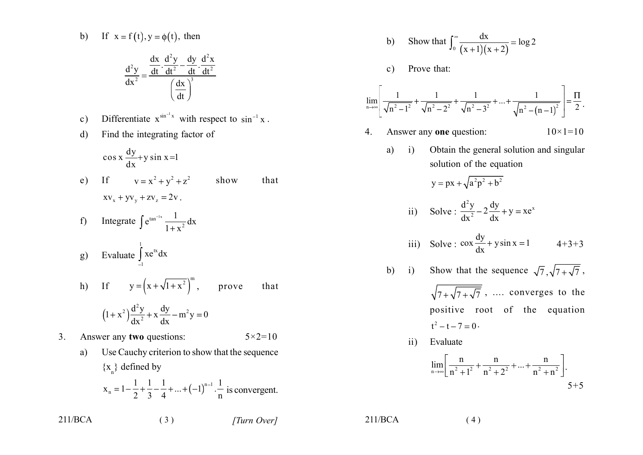b) If 
$$
x = f(t), y = \phi(t)
$$
, then

$$
\frac{d^2y}{dx^2} = \frac{\frac{dx}{dt} \cdot \frac{d^2y}{dt^2} - \frac{dy}{dt} \cdot \frac{d^2x}{dt^2}}{\left(\frac{dx}{dt}\right)^3}
$$

- Differentiate  $x^{\sin^{-1} x}$  with respect to  $\sin^{-1} x$ .  $\mathbf{c})$
- Find the integrating factor of  $\mathbf{d}$

$$
\cos x \frac{dy}{dx} + y \sin x = 1
$$

- If  $y = x^2 + y^2 + z^2$  show  $e)$ that  $XV_x + yV_y + ZV_z = 2V$ .
- f) Integrate  $\int e^{\tan^{-1}x} \frac{1}{1+x^2} dx$
- g) Evaluate  $\int_{1}^{1} xe^{tx} dx$
- h) If  $y = (x + \sqrt{1 + x^2})^m$ , prove that  $(1+x^2)\frac{d^2y}{dx^2} + x\frac{dy}{dx} - m^2y = 0$

$$
\int dx^2 dx
$$

 $3<sub>1</sub>$ Answer any two questions:  $5 \times 2 = 10$ 

 $(3)$ 

Use Cauchy criterion to show that the sequence a)  $\{x_{n}\}\$  defined by  $x_n = 1 - \frac{1}{2} + \frac{1}{3} - \frac{1}{4} + ... + (-1)^{n-1} \cdot \frac{1}{n}$  is convergent.

b) Show that 
$$
\int_0^\infty \frac{dx}{(x+1)(x+2)} = \log 2
$$

 $\mathbf{c})$ Prove that:

$$
\lim_{n \to \infty} \left[ \frac{1}{\sqrt{n^2 - 1^2}} + \frac{1}{\sqrt{n^2 - 2^2}} + \frac{1}{\sqrt{n^2 - 3^2}} + \dots + \frac{1}{\sqrt{n^2 - (n-1)^2}} \right] = \frac{\Pi}{2} \, .
$$

- Answer any one question:  $10 \times 1 = 10$  $\overline{4}$ 
	- $a)$  $\ddot{i}$ Obtain the general solution and singular solution of the equation

$$
y = px + \sqrt{a^2p^2 + b^2}
$$

ii) Solve : 
$$
\frac{d^2y}{dx^2} - 2\frac{dy}{dx} + y = xe^x
$$

iii) Solve: 
$$
\cos \frac{dy}{dx} + y \sin x = 1
$$
 4+3+3

- b) i) Show that the sequence  $\sqrt{7}, \sqrt{7 + \sqrt{7}}$ ,  $\sqrt{7+\sqrt{7+\sqrt{7}}}$ , .... converges to the positive root of the equation  $t^2 - t - 7 = 0$ .
	- Evaluate  $\overline{11}$

$$
\lim_{n \to \infty} \left[ \frac{n}{n^2 + 1^2} + \frac{n}{n^2 + 2^2} + \dots + \frac{n}{n^2 + n^2} \right].
$$
5+5

 $211/BCA$ 

 $(4)$